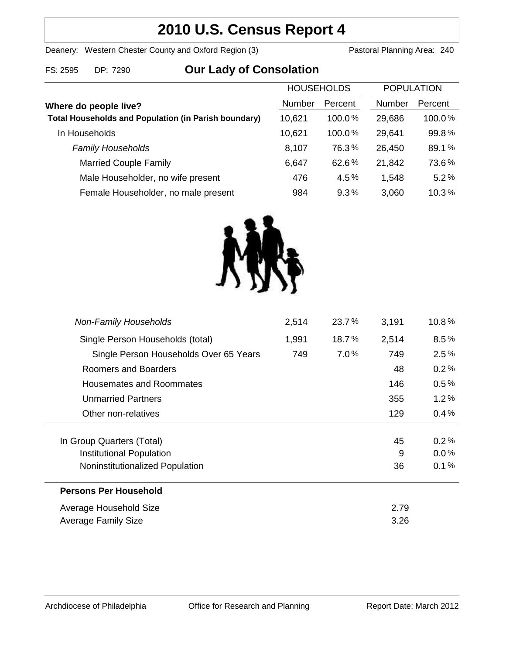## **2010 U.S. Census Report 4**

Deanery: Western Chester County and Oxford Region (3) Pastoral Planning Area: 240

# FS: 2595 DP: 7290 **Our Lady of Consolation**

|                                                             | <b>HOUSEHOLDS</b> |           | <b>POPULATION</b> |         |
|-------------------------------------------------------------|-------------------|-----------|-------------------|---------|
| Where do people live?                                       | Number            | Percent   | Number            | Percent |
| <b>Total Households and Population (in Parish boundary)</b> | 10,621            | $100.0\%$ | 29,686            | 100.0%  |
| In Households                                               | 10,621            | $100.0\%$ | 29,641            | 99.8%   |
| <b>Family Households</b>                                    | 8,107             | 76.3%     | 26,450            | 89.1%   |
| <b>Married Couple Family</b>                                | 6,647             | 62.6%     | 21,842            | 73.6%   |
| Male Householder, no wife present                           | 476               | 4.5%      | 1,548             | 5.2%    |
| Female Householder, no male present                         | 984               | $9.3\%$   | 3,060             | 10.3%   |



| <b>Non-Family Households</b>           | 2,514 | 23.7% | 3,191 | 10.8%   |
|----------------------------------------|-------|-------|-------|---------|
| Single Person Households (total)       | 1,991 | 18.7% | 2,514 | $8.5\%$ |
| Single Person Households Over 65 Years | 749   | 7.0%  | 749   | 2.5%    |
| Roomers and Boarders                   |       |       | 48    | 0.2%    |
| Housemates and Roommates               |       |       | 146   | $0.5\%$ |
| <b>Unmarried Partners</b>              |       |       | 355   | 1.2%    |
| Other non-relatives                    |       |       | 129   | $0.4\%$ |
|                                        |       |       |       |         |
| In Group Quarters (Total)              |       |       | 45    | 0.2%    |
| Institutional Population               |       |       | 9     | $0.0\%$ |
| Noninstitutionalized Population        |       |       | 36    | 0.1%    |
| <b>Persons Per Household</b>           |       |       |       |         |
| Average Household Size                 |       |       | 2.79  |         |
| <b>Average Family Size</b>             |       |       | 3.26  |         |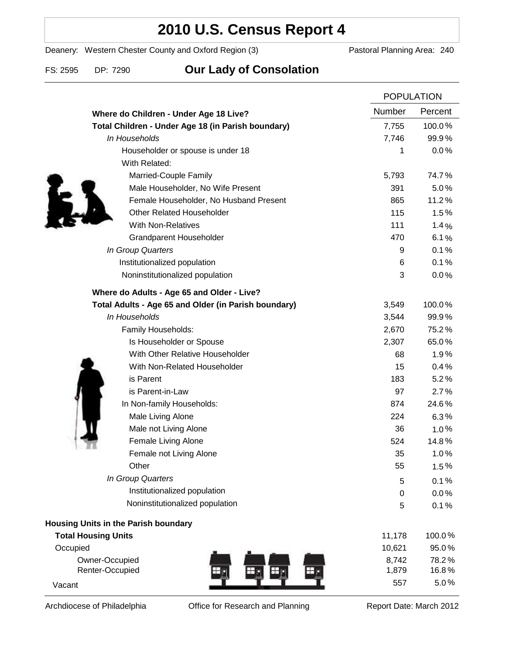### **2010 U.S. Census Report 4**

Deanery: Western Chester County and Oxford Region (3) Pastoral Planning Area: 240

FS: 2595 DP: 7290 **Our Lady of Consolation**

|                                                      | <b>POPULATION</b> |                |
|------------------------------------------------------|-------------------|----------------|
| Where do Children - Under Age 18 Live?               | Number            | Percent        |
| Total Children - Under Age 18 (in Parish boundary)   | 7,755             | 100.0%         |
| In Households                                        | 7,746             | 99.9%          |
| Householder or spouse is under 18                    | 1                 | 0.0%           |
| With Related:                                        |                   |                |
| Married-Couple Family                                | 5,793             | 74.7%          |
| Male Householder, No Wife Present                    | 391               | 5.0%           |
| Female Householder, No Husband Present               | 865               | 11.2%          |
| <b>Other Related Householder</b>                     | 115               | 1.5%           |
| <b>With Non-Relatives</b>                            | 111               | 1.4%           |
| <b>Grandparent Householder</b>                       | 470               | 6.1%           |
| In Group Quarters                                    | 9                 | 0.1%           |
| Institutionalized population                         | 6                 | 0.1%           |
| Noninstitutionalized population                      | 3                 | 0.0%           |
| Where do Adults - Age 65 and Older - Live?           |                   |                |
| Total Adults - Age 65 and Older (in Parish boundary) | 3,549             | 100.0%         |
| In Households                                        | 3,544             | 99.9%          |
| Family Households:                                   | 2,670             | 75.2%          |
| Is Householder or Spouse                             | 2,307             | 65.0%          |
| With Other Relative Householder                      | 68                | 1.9%           |
| With Non-Related Householder                         | 15                | 0.4%           |
| is Parent                                            | 183               | 5.2%           |
| is Parent-in-Law                                     | 97                | 2.7%           |
| In Non-family Households:                            | 874               | 24.6%          |
| Male Living Alone                                    | 224               | 6.3%           |
| Male not Living Alone                                | 36                | $1.0\%$        |
| Female Living Alone                                  | 524               | 14.8%          |
| Female not Living Alone                              | 35                | 1.0%           |
| Other                                                | 55                | 1.5%           |
| In Group Quarters                                    | 5                 | 0.1%           |
| Institutionalized population                         | 0                 | 0.0%           |
| Noninstitutionalized population                      | 5                 | 0.1%           |
| Housing Units in the Parish boundary                 |                   |                |
| <b>Total Housing Units</b>                           | 11,178            | 100.0%         |
| Occupied                                             | 10,621            | 95.0%          |
| Owner-Occupied<br>Renter-Occupied                    | 8,742<br>1,879    | 78.2%<br>16.8% |
| Vacant                                               | 557               | 5.0%           |

Archdiocese of Philadelphia **Office for Research and Planning** Report Date: March 2012